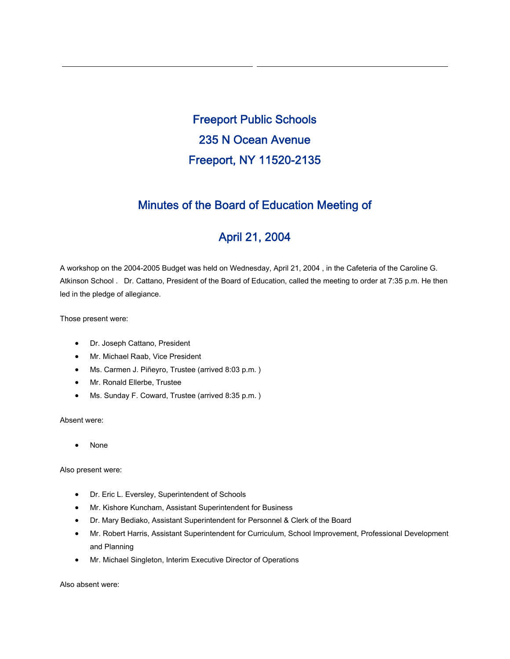Freeport Public Schools 235 N Ocean Avenue Freeport, NY 11520-2135

# Minutes of the Board of Education Meeting of

# April 21, 2004

A workshop on the 2004-2005 Budget was held on Wednesday, April 21, 2004 , in the Cafeteria of the Caroline G. Atkinson School . Dr. Cattano, President of the Board of Education, called the meeting to order at 7:35 p.m. He then led in the pledge of allegiance.

Those present were:

- Dr. Joseph Cattano, President
- Mr. Michael Raab, Vice President
- Ms. Carmen J. Piñeyro, Trustee (arrived 8:03 p.m. )
- Mr. Ronald Ellerbe, Trustee
- Ms. Sunday F. Coward, Trustee (arrived 8:35 p.m.)

Absent were:

• None

Also present were:

- Dr. Eric L. Eversley, Superintendent of Schools
- Mr. Kishore Kuncham, Assistant Superintendent for Business
- Dr. Mary Bediako, Assistant Superintendent for Personnel & Clerk of the Board
- Mr. Robert Harris, Assistant Superintendent for Curriculum, School Improvement, Professional Development and Planning
- Mr. Michael Singleton, Interim Executive Director of Operations

Also absent were: